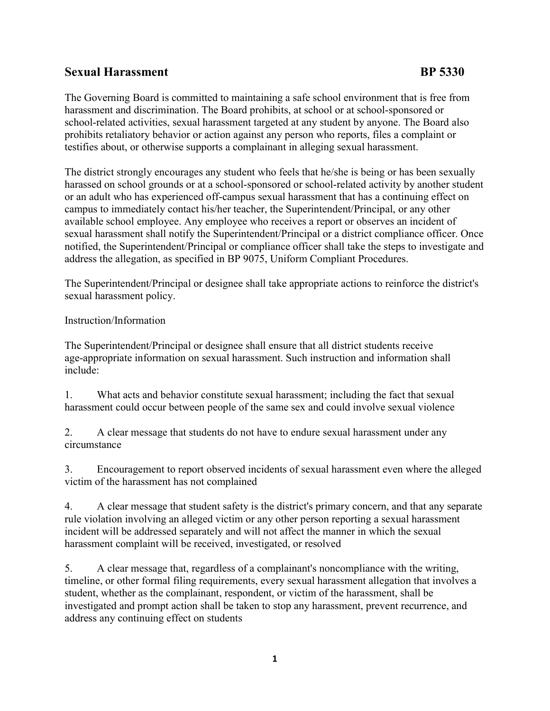## Sexual Harassment and BP 5330

The Governing Board is committed to maintaining a safe school environment that is free from harassment and discrimination. The Board prohibits, at school or at school-sponsored or school-related activities, sexual harassment targeted at any student by anyone. The Board also prohibits retaliatory behavior or action against any person who reports, files a complaint or testifies about, or otherwise supports a complainant in alleging sexual harassment.

The district strongly encourages any student who feels that he/she is being or has been sexually harassed on school grounds or at a school-sponsored or school-related activity by another student or an adult who has experienced off-campus sexual harassment that has a continuing effect on campus to immediately contact his/her teacher, the Superintendent/Principal, or any other available school employee. Any employee who receives a report or observes an incident of sexual harassment shall notify the Superintendent/Principal or a district compliance officer. Once notified, the Superintendent/Principal or compliance officer shall take the steps to investigate and address the allegation, as specified in BP 9075, Uniform Compliant Procedures.

The Superintendent/Principal or designee shall take appropriate actions to reinforce the district's sexual harassment policy.

## Instruction/Information

The Superintendent/Principal or designee shall ensure that all district students receive age-appropriate information on sexual harassment. Such instruction and information shall include:

1. What acts and behavior constitute sexual harassment; including the fact that sexual harassment could occur between people of the same sex and could involve sexual violence

2. A clear message that students do not have to endure sexual harassment under any circumstance

3. Encouragement to report observed incidents of sexual harassment even where the alleged victim of the harassment has not complained

4. A clear message that student safety is the district's primary concern, and that any separate rule violation involving an alleged victim or any other person reporting a sexual harassment incident will be addressed separately and will not affect the manner in which the sexual harassment complaint will be received, investigated, or resolved

5. A clear message that, regardless of a complainant's noncompliance with the writing, timeline, or other formal filing requirements, every sexual harassment allegation that involves a student, whether as the complainant, respondent, or victim of the harassment, shall be investigated and prompt action shall be taken to stop any harassment, prevent recurrence, and address any continuing effect on students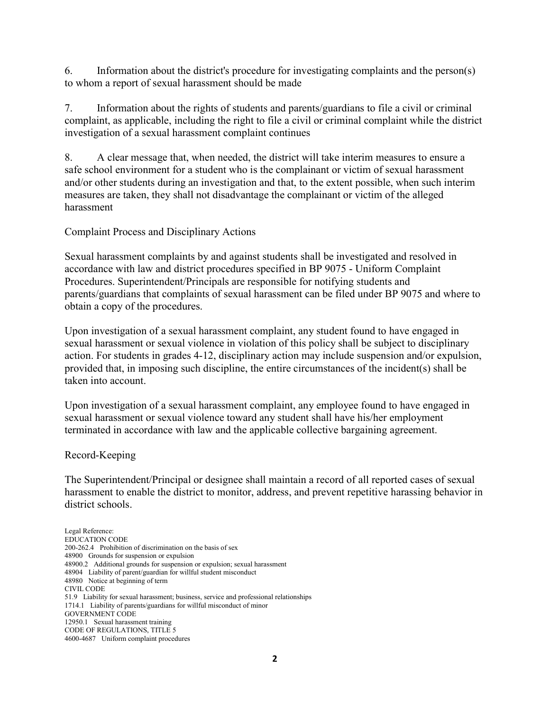6. Information about the district's procedure for investigating complaints and the person(s) to whom a report of sexual harassment should be made

7. Information about the rights of students and parents/guardians to file a civil or criminal complaint, as applicable, including the right to file a civil or criminal complaint while the district investigation of a sexual harassment complaint continues

8. A clear message that, when needed, the district will take interim measures to ensure a safe school environment for a student who is the complainant or victim of sexual harassment and/or other students during an investigation and that, to the extent possible, when such interim measures are taken, they shall not disadvantage the complainant or victim of the alleged harassment

Complaint Process and Disciplinary Actions

Sexual harassment complaints by and against students shall be investigated and resolved in accordance with law and district procedures specified in BP 9075 - Uniform Complaint Procedures. Superintendent/Principals are responsible for notifying students and parents/guardians that complaints of sexual harassment can be filed under BP 9075 and where to obtain a copy of the procedures.

Upon investigation of a sexual harassment complaint, any student found to have engaged in sexual harassment or sexual violence in violation of this policy shall be subject to disciplinary action. For students in grades 4-12, disciplinary action may include suspension and/or expulsion, provided that, in imposing such discipline, the entire circumstances of the incident(s) shall be taken into account.

Upon investigation of a sexual harassment complaint, any employee found to have engaged in sexual harassment or sexual violence toward any student shall have his/her employment terminated in accordance with law and the applicable collective bargaining agreement.

Record-Keeping

The Superintendent/Principal or designee shall maintain a record of all reported cases of sexual harassment to enable the district to monitor, address, and prevent repetitive harassing behavior in district schools.

Legal Reference: EDUCATION CODE 200-262.4 Prohibition of discrimination on the basis of sex 48900 Grounds for suspension or expulsion 48900.2 Additional grounds for suspension or expulsion; sexual harassment 48904 Liability of parent/guardian for willful student misconduct 48980 Notice at beginning of term CIVIL CODE 51.9 Liability for sexual harassment; business, service and professional relationships 1714.1 Liability of parents/guardians for willful misconduct of minor GOVERNMENT CODE 12950.1 Sexual harassment training CODE OF REGULATIONS, TITLE 5 4600-4687 Uniform complaint procedures